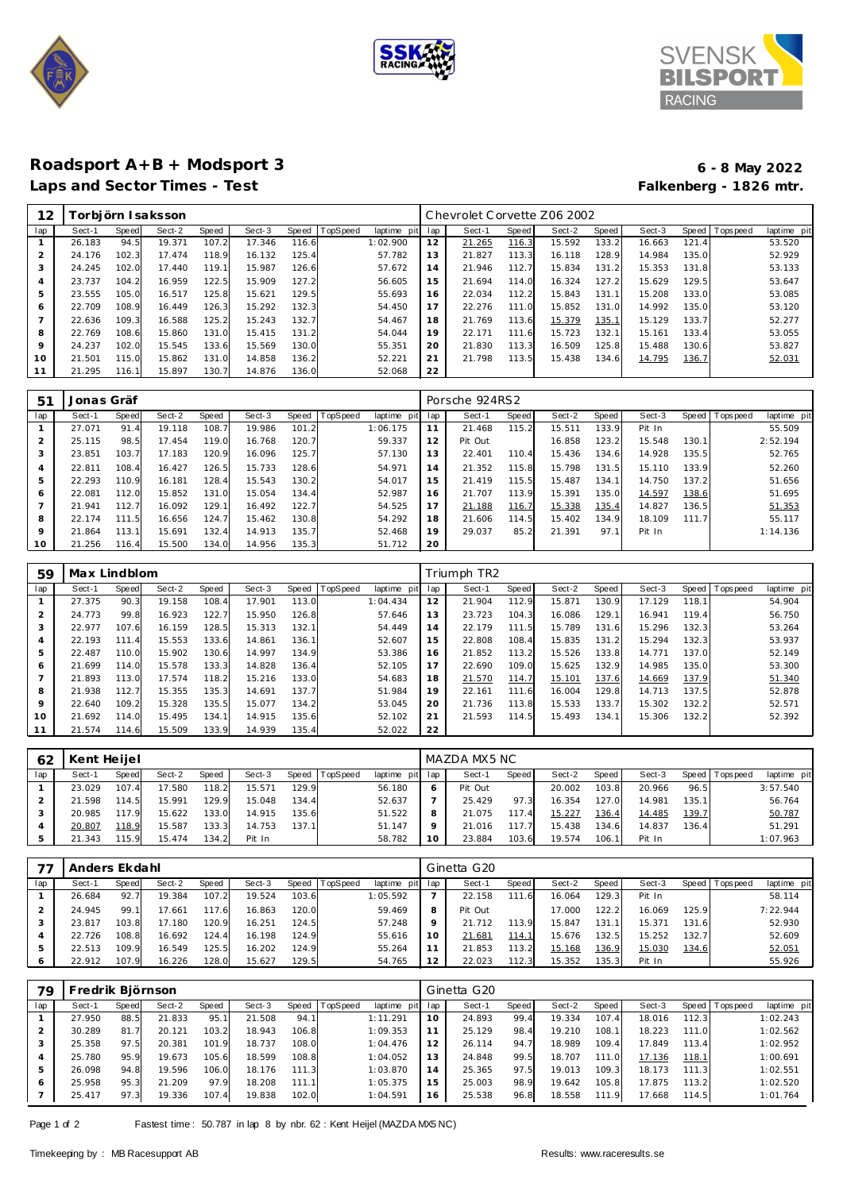





## **Roadsport A+B + Modsport 3 6 - 8 May 2022 Laps and Sector Times - Test Falkenberg - 1826 mtr.**

| 12             |        |       | orbjörn I saksson |       |        |       |          |             |     | Chevrolet Corvette Z06 2002 |       |        |       |        |       |                  |             |
|----------------|--------|-------|-------------------|-------|--------|-------|----------|-------------|-----|-----------------------------|-------|--------|-------|--------|-------|------------------|-------------|
| lap            | Sect-1 | Speed | Sect-2            | Speed | Sect-3 | Speed | TopSpeed | laptime pit | lap | Sect-1                      | Speed | Sect-2 | Speed | Sect-3 |       | Speed   Topspeed | laptime pit |
|                | 26.183 | 94.5  | 19.371            | 107.2 | 17.346 | 116.6 |          | 1:02.900    | 12  | 21.265                      | 116.3 | 15.592 | 133.2 | 16.663 | 121.4 |                  | 53.520      |
| $\overline{2}$ | 24.176 | 102.3 | 17.474            | 118.9 | 16.132 | 125.4 |          | 57.782      | 13  | 21.827                      | 113.3 | 16.118 | 128.9 | 14.984 | 135.0 |                  | 52.929      |
| 3              | 24.245 | 102.0 | 17.440            | 119.1 | 15.987 | 126.6 |          | 57.672      | 14  | 21.946                      | 112.7 | 15.834 | 131.2 | 15.353 | 131.8 |                  | 53.133      |
| 4              | 23.737 | 104.2 | 16.959            | 122.5 | 15.909 | 127.2 |          | 56.605      | 15  | 21.694                      | 114.0 | 16.324 | 127.2 | 15.629 | 129.5 |                  | 53.647      |
| 5              | 23.555 | 105.0 | 16.517            | 125.8 | 15.621 | 129.5 |          | 55.693      | 16  | 22.034                      | 112.2 | 15.843 | 131.1 | 15.208 | 133.0 |                  | 53.085      |
| 6              | 22.709 | 108.9 | 16.449            | 126.3 | 15.292 | 132.3 |          | 54.450      | 17  | 22.276                      | 111.0 | 15.852 | 131.0 | 14.992 | 135.0 |                  | 53.120      |
|                | 22.636 | 109.3 | 16.588            | 125.2 | 15.243 | 132.7 |          | 54.467      | 18  | 21.769                      | 113.6 | 15.379 | 135.1 | 15.129 | 133.7 |                  | 52.277      |
| 8              | 22.769 | 108.6 | 15.860            | 131.0 | 15.415 | 131.2 |          | 54.044      | 19  | 22.171                      | 111.6 | 15.723 | 132.1 | 15.161 | 133.4 |                  | 53.055      |
| 9              | 24.237 | 102.0 | 15.545            | 133.6 | 15.569 | 130.0 |          | 55.351      | 20  | 21.830                      | 113.3 | 16.509 | 125.8 | 15.488 | 130.6 |                  | 53.827      |
| 10             | 21.501 | 115.0 | 15.862            | 131.0 | 14.858 | 136.2 |          | 52.221      | 21  | 21.798                      | 113.5 | 15.438 | 134.6 | 14.795 | 136.7 |                  | 52.031      |
|                | 21.295 | 116.1 | 15.897            | 130.7 | 14.876 | 136.0 |          | 52.068      | 22  |                             |       |        |       |        |       |                  |             |

| 51  | Jonas Gräf |       |        |       |        |       |                 |             |     | Porsche 924RS2 |       |        |       |        |       |           |             |
|-----|------------|-------|--------|-------|--------|-------|-----------------|-------------|-----|----------------|-------|--------|-------|--------|-------|-----------|-------------|
| lap | Sect-1     | Speed | Sect-2 | Speed | Sect-3 | Speed | <b>TopSpeed</b> | laptime pit | lap | Sect-1         | Speed | Sect-2 | Speed | Sect-3 | Speed | Tops peed | laptime pit |
|     | 27.071     | 91.4  | 19.118 | 108.7 | 19.986 | 101.2 |                 | 1:06.175    |     | 21.468         | 115.2 | 15.511 | 133.9 | Pit In |       |           | 55.509      |
| 2   | 25.115     | 98.5  | 17.454 | 119.0 | 16.768 | 120.7 |                 | 59.337      | 12  | Pit Out        |       | 16.858 | 123.2 | 15.548 | 130.1 |           | 2:52.194    |
| 3   | 23.851     | 103.7 | 17.183 | 120.9 | 16.096 | 125.7 |                 | 57.130      | 13  | 22.401         | 110.4 | 15.436 | 134.6 | 14.928 | 135.5 |           | 52.765      |
| 4   | 22.811     | 108.4 | 16.427 | 126.5 | 15.733 | 128.6 |                 | 54.971      | 14  | 21.352         | 115.8 | 15.798 | 131.5 | 15.110 | 133.9 |           | 52.260      |
| 5   | 22.293     | 110.9 | 16.181 | 128.4 | 15.543 | 130.2 |                 | 54.017      | 15  | 21.419         | 115.5 | 15.487 | 134.1 | 14.750 | 137.2 |           | 51.656      |
| 6   | 22.081     | 112.0 | 15.852 | 131.0 | 15.054 | 134.4 |                 | 52.987      | 16  | 21.707         | 113.9 | 15.391 | 135.0 | 14.597 | 138.6 |           | 51.695      |
|     | 21.941     | 112.7 | 16.092 | 129.1 | 16.492 | 122.7 |                 | 54.525      | 17  | 21.188         | 116.7 | 15.338 | 135.4 | 14.827 | 136.5 |           | 51.353      |
| 8   | 22.174     | 111.5 | 16.656 | 124.7 | 15.462 | 130.8 |                 | 54.292      | 18  | 21.606         | 114.5 | 15.402 | 134.9 | 18.109 | 111.7 |           | 55.117      |
| 9   | 21.864     | 113.1 | 15.691 | 132.4 | 14.913 | 135.7 |                 | 52.468      | 19  | 29.037         | 85.2  | 21.391 | 97.1  | Pit In |       |           | 1:14.136    |
| 10  | 21.256     | 116.4 | 15.500 | 134.0 | 14.956 | 135.3 |                 | 51.712      | 20  |                |       |        |       |        |       |           |             |

| 59  | Max Lindblom |       |        |       |        |       |                 |             |     | Triumph TR2 |       |        |       |        |       |                |             |
|-----|--------------|-------|--------|-------|--------|-------|-----------------|-------------|-----|-------------|-------|--------|-------|--------|-------|----------------|-------------|
| lap | Sect-1       | Speed | Sect-2 | Speed | Sect-3 | Speed | <b>TopSpeed</b> | laptime pit | lap | Sect-1      | Speed | Sect-2 | Speed | Sect-3 |       | Speed Topspeed | laptime pit |
|     | 27.375       | 90.3  | 19.158 | 108.4 | 17.901 | 113.0 |                 | 1:04.434    | 12  | 21.904      | 112.9 | 15.871 | 130.9 | 17.129 | 118.1 |                | 54.904      |
| 2   | 24.773       | 99.8  | 16.923 | 122.7 | 15.950 | 126.8 |                 | 57.646      | 13  | 23.723      | 104.3 | 16.086 | 129.1 | 16.941 | 119.4 |                | 56.750      |
| 3   | 22.977       | 107.6 | 16.159 | 128.5 | 15.313 | 132.1 |                 | 54.449      | 14  | 22.179      | 111.5 | 15.789 | 131.6 | 15.296 | 132.3 |                | 53.264      |
| 4   | 22.193       | 111.4 | 15.553 | 133.6 | 14.861 | 136.1 |                 | 52.607      | 15  | 22.808      | 108.4 | 15.835 | 131.2 | 15.294 | 132.3 |                | 53.937      |
| 5   | 22.487       | 110.0 | 15.902 | 130.6 | 14.997 | 134.9 |                 | 53.386      | 16  | 21.852      | 113.2 | 15.526 | 133.8 | 14.771 | 137.0 |                | 52.149      |
| 6   | 21.699       | 114.0 | 15.578 | 133.3 | 14.828 | 136.4 |                 | 52.105      | 17  | 22.690      | 109.0 | 15.625 | 132.9 | 14.985 | 135.0 |                | 53.300      |
|     | 21.893       | 113.0 | 17.574 | 118.2 | 15.216 | 133.0 |                 | 54.683      | 18  | 21.570      | 114.7 | 15.101 | 137.6 | 14.669 | 137.9 |                | 51.340      |
| 8   | 21.938       | 112.7 | 15.355 | 135.3 | 14.691 | 137.7 |                 | 51.984      | 19  | 22.161      | 111.6 | 16.004 | 129.8 | 14.713 | 137.5 |                | 52.878      |
| 9   | 22.640       | 109.2 | 15.328 | 135.5 | 15.077 | 134.2 |                 | 53.045      | 20  | 21.736      | 113.8 | 15.533 | 133.7 | 15.302 | 132.2 |                | 52.571      |
| 10  | 21.692       | 114.0 | 15.495 | 134.1 | 14.915 | 135.6 |                 | 52.102      | 21  | 21.593      | 114.5 | 15.493 | 134.1 | 15.306 | 132.2 |                | 52.392      |
| 11  | 21.574       | 114.6 | 15.509 | 133.9 | 14.939 | 135.4 |                 | 52.022      | 22  |             |       |        |       |        |       |                |             |

| 62  | Kent Heijel |        |        |       |        |       |          |                 |         | MAZDA MX5 NC |       |        |              |        |       |                   |             |
|-----|-------------|--------|--------|-------|--------|-------|----------|-----------------|---------|--------------|-------|--------|--------------|--------|-------|-------------------|-------------|
| lap | Sect-1      | Speed  | Sect-2 | Speed | Sect-3 | Speed | TopSpeed | laptime pit lap |         | Sect-1       | Speed | Sect-2 | Speed        | Sect-3 |       | Speed   Tops peed | laptime pit |
|     | 23.029      | 107.4  | 17.580 | 118.2 | 15.571 | 129.9 |          | 56.180          | O       | Pit Out      |       | 20.002 | 103.8        | 20.966 | 96.5  |                   | 3:57.540    |
|     | 21.598      | 114.5  | 15.991 | 129.9 | 15.048 | 134.4 |          | 52.637          |         | 25.429       | 97.3  | 16.354 | 127.0        | 14.981 | 135.1 |                   | 56.764      |
|     | 20.985      | 117 91 | 15.622 | 133.0 | 14.915 | 135.6 |          | 51.522          | 8       | 21.075       | 117   | 15.227 | <u>136.4</u> | 14.485 | 139.7 |                   | 50.787      |
|     | 20.807      | 118.9  | 15.587 | 133.3 | 14.753 | 137.1 |          | 51.147          | $\circ$ | 21.016       | 117.7 | 15.438 | 134.6        | 14.837 | 136.4 |                   | 51.291      |
|     | 21.343      | 115.9  | 15.474 | 134.2 | Pit In |       |          | 58.782          | 10      | 23.884       | 103.6 | 19.574 | 106.1        | Pit In |       |                   | 1:07.963    |

|     | Anders Ekdahl |       |        |              |        |       |         |             |                | Ginetta G20 |       |        |       |        |       |             |             |
|-----|---------------|-------|--------|--------------|--------|-------|---------|-------------|----------------|-------------|-------|--------|-------|--------|-------|-------------|-------------|
| lap | Sect-1        | Speed | Sect-2 | <b>Speed</b> | Sect-3 | Speed | opSpeed | laptime pit | lap            | Sect-1      | Speed | Sect-2 | Speed | Sect-3 | Speed | T ops pee d | laptime pit |
|     | 26.684        | 92    | 19.384 | 107.2        | 19.524 | 103.6 |         | 1:05.592    |                | 22.158      | 111.6 | 16.064 | 129.3 | Pit In |       |             | 58.114      |
|     | 24.945        | 99.1  | 17.661 | 117.6        | 16.863 | 120.0 |         | 59.469      | 8              | Pit Out     |       | 17.000 | 122.2 | 16.069 | 125.9 |             | 7:22.944    |
|     | 23.817        | 103.8 | 17.180 | 120.9        | 16.251 | 124.5 |         | 57.248      |                | 21.712      | 113.9 | 15.847 | 131.1 | 15.371 | 131.6 |             | 52.930      |
|     | 22.726        | 108.8 | 16.692 | 124.4        | 16.198 | 124.9 |         | 55.616      |                | 21.681      | 114.1 | 15.676 | 132.5 | 15.252 | 132.7 |             | 52.609      |
| ъ   | 22.513        | 109.9 | 16.549 | 125.51       | 16.202 | 124.9 |         | 55.264      |                | 21.853      | 113.2 | 15.168 | 136.9 | 15.030 | 134.6 |             | 52.051      |
| 6   | 22.912        | 107.9 | 16.226 | 128.0        | 15.627 | 129.5 |         | 54.765      | $\overline{2}$ | 22.023      | 112.3 | 15.352 | 135.3 | Pit In |       |             | 55.926      |

| 79  | Fredrik Björnson |       |        |       |        |       |          |             |     | Ginetta G20 |       |        |                 |        |       |                 |             |
|-----|------------------|-------|--------|-------|--------|-------|----------|-------------|-----|-------------|-------|--------|-----------------|--------|-------|-----------------|-------------|
| lap | Sect-1           | Speed | Sect-2 | Speed | Sect-3 | Speed | TopSpeed | laptime pit | lap | Sect-1      | Speed | Sect-2 | Speed           | Sect-3 |       | Speed Tops peed | laptime pit |
|     | 27.950           | 88.5  | 21.833 | 95.1  | 21.508 | 94.1  |          | 1:11.291    | 10  | 24.893      | 99.4  | 19.334 | 107.4           | 18.016 | 112.3 |                 | 1:02.243    |
|     | 30.289           | 81.7  | 20.121 | 103.2 | 18.943 | 106.8 |          | 1:09.353    |     | 25.129      | 98.4  | 19.210 | 108.1           | 18.223 | 111.0 |                 | 1:02.562    |
|     | 25.358           | 97.5  | 20.381 | 101.9 | 18.737 | 108.0 |          | 1:04.476    |     | 26.114      | 94.7  | 18.989 | 109.4           | 17.849 | 113.4 |                 | 1:02.952    |
|     | 25.780           | 95.9  | 19.673 | 105.6 | 18.599 | 108.8 |          | 1:04.052    |     | 24.848      | 99.5  | 18.707 | 111<br>$\Omega$ | 17.136 | 118.1 |                 | 1:00.691    |
|     | 26.098           | 94.8  | 19.596 | 106.0 | 18.176 | 111.3 |          | 1:03.870    | 14  | 25.365      | 97.5  | 19.013 | 109.3           | 18.173 | 111.3 |                 | 1:02.551    |
| 6   | 25.958           | 95.3  | 21.209 | 97.9  | 18.208 | 111.1 |          | 1:05.375    | 15  | 25.003      | 98.9  | 19.642 | 105.8           | 17.875 | 113.2 |                 | 1:02.520    |
|     | 25.417           | 97.3  | 19.336 | 107.4 | 19.838 | 102.0 |          | 1:04.591    | 16  | 25.538      | 96.8  | 18.558 | 111<br>-91      | 17.668 | 114.5 |                 | 1:01.764    |